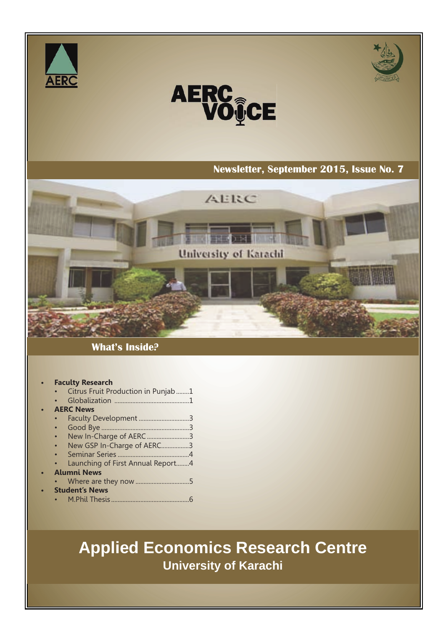



# **AERC<br>VOICE**

#### **Newsletter, September 2015, Issue No. 7.**

# $AEEC$ University of Karachi

#### **What's Inside?**

#### **• Faculty Research** • Citrus Fruit Production in Punjab........1 • Globalization ..............................................1 **• AERC News** • Faculty Development ...............................3

- Good Bye ......................................................3
- New In-Charge of AERC ...............................3
- New GSP In-Charge of AERC.................3
- Seminar Series ............................................4
- Launching of First Annual Report........4
- **• Alumni News**
	- Where are they now .................................5 **• Student's News**
	- M.Phil Thesis................................................6

# **Applied Economics Research Centre University of Karachi**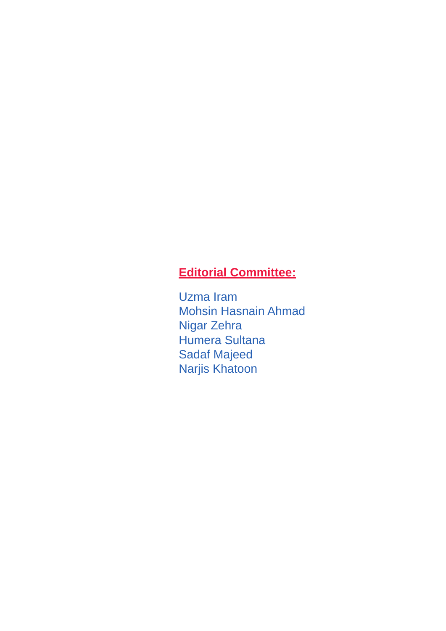### **Editorial Committee:**

Uzma Iram Mohsin Hasnain Ahmad Nigar Zehra Humera Sultana Sadaf Majeed Narjis Khatoon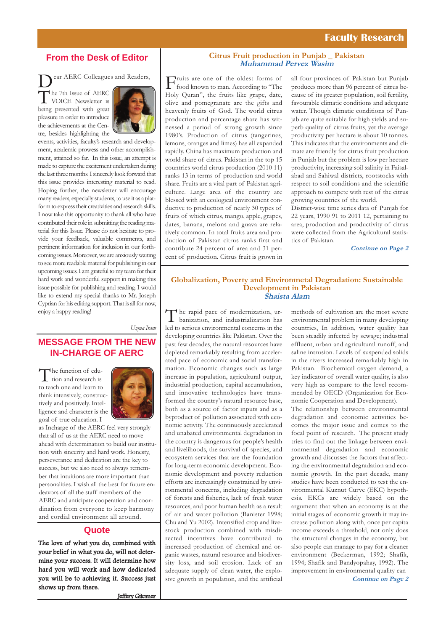#### **Faculty Research**

#### **From the Desk of Editor**

ear AERC Colleagues and Readers, The 7th Issue of AERC<br>VOICE Newsletter is being presented with great pleasure in order to introduce the achievements at the Centre, besides highlighting the



events, activities, faculty's research and development, academic prowess and other accomplishment, attained so far. In this issue, an attempt is made to capture the excitement undertaken during the last three months. I sincerely look forward that this issue provides interesting material to read. Hoping further, the newsletter will encourage many readers, especially students, to use it as a platform to express their creativities and research skills. I now take this opportunity to thank all who have contributed their role in submitting the reading material for this Issue. Please do not hesitate to provide your feedback, valuable comments, and pertinent information for inclusion in our forthcoming issues. Moreover, we are anxiously waiting to see more readable material for publishing in our upcoming issues. I am grateful to my team for their hard work and wonderful support in making this issue possible for publishing and reading. I would like to extend my special thanks to Mr. Joseph Cyprian for his editing support. That is all for now, enjoy a happy reading!

*Uzma Iram*

#### **MESSAGE FROM THE NEW IN-CHARGE OF AERC**

The function of edu-<br>tion and research is to teach one and learn to think intensively, constructively and positively. Intelligence and character is the goal of true education. I



as Incharge of the AERC feel very strongly that all of us at the AERC need to move ahead with determination to build our institution with sincerity and hard work. Honesty, perseverance and dedication are the key to success, but we also need to always remember that intuitions are more important than personalities. I wish all the best for future endeavors of all the staff members of the AERC and anticipate cooperation and coordination from everyone to keep harmony and cordial environment all around.

#### **Quote**

The love of what you do, combined with your belief in what you do, will not determine your success. It will determine how hard you will work and how dedicated you will be to achieving it. Success just shows up from there.

#### **Citrus Fruit production in Punjab \_ Pakistan Muhammad Pervez Wasim**

Fruits are one of the oldest forms of<br>food known to man. According to "The Holy Quran", the fruits like grape, date, olive and pomegranate are the gifts and heavenly fruits of God. The world citrus production and percentage share has witnessed a period of strong growth since 1980's. Production of citrus (tangerines, lemons, oranges and limes) has all expanded rapidly. China has maximum production and world share of citrus. Pakistan in the top 15 countries world citrus production (2010 11) ranks 13 in terms of production and world share. Fruits are a vital part of Pakistan agriculture. Large area of the country are blessed with an ecological environment conductive to production of nearly 30 types of fruits of which citrus, mango, apple, grapes, dates, banana, melons and guava are relatively common. In total fruits area and production of Pakistan citrus ranks first and contribute 24 percent of area and 31 percent of production. Citrus fruit is grown in

all four provinces of Pakistan but Punjab produces more than 96 percent of citrus because of its greater population, soil fertility, favourable climatic conditions and adequate water. Though climatic conditions of Punjab are quite suitable for high yields and superb quality of citrus fruits, yet the average productivity per hectare is about 10 tonnes. This indicates that the environments and climate are friendly for citrus fruit production in Punjab but the problem is low per hectare productivity, increasing soil salinity in Faisalabad and Sahiwal districts, rootstocks with respect to soil conditions and the scientific approach to compete with rest of the citrus growing countries of the world.

District-wise time series data of Punjab for 22 years, 1990 91 to 2011 12, pertaining to area, production and productivity of citrus were collected from the Agricultural statistics of Pakistan.

**Continue on Page 2**

#### **Globalization, Poverty and Environmetal Degradation: Sustainable Development in Pakistan Shaista Alam**

The rapid pace of modernization, ur-banization, and industrialization has led to serious environmental concerns in the developing countries like Pakistan. Over the past few decades, the natural resources have depleted remarkably resulting from accelerated pace of economic and social transformation. Economic changes such as large increase in population, agricultural output, industrial production, capital accumulation, and innovative technologies have transformed the country's natural resource base, both as a source of factor inputs and as a byproduct of pollution associated with economic activity. The continuously accelerated and unabated environmental degradation in the country is dangerous for people's health and livelihoods, the survival of species, and ecosystem services that are the foundation for long-term economic development. Economic development and poverty reduction efforts are increasingly constrained by environmental concerns, including degradation of forests and fisheries, lack of fresh water resources, and poor human health as a result of air and water pollution (Banister 1998; Chu and Yu 2002). Intensified crop and livestock production combined with misdirected incentives have contributed to increased production of chemical and organic wastes, natural resource and biodiversity loss, and soil erosion. Lack of an adequate supply of clean water, the explosive growth in population, and the artificial

methods of cultivation are the most severe environmental problem in many developing countries, In addition, water quality has been steadily infected by sewage; industrial effluent, urban and agricultural runoff, and saline intrusion. Levels of suspended solids in the rivers increased remarkably high in Pakistan. Biochemical oxygen demand, a key indicator of overall water quality, is also very high as compare to the level recommended by OECD (Organization for Economic Cooperation and Development).

The relationship between environmental degradation and economic activities becomes the major issue and comes to the focal point of research. The present study tries to find out the linkage between environmental degradation and economic growth and discusses the factors that affecting the environmental degradation and economic growth. In the past decade, many studies have been conducted to test the environmental Kuznut Curve (EKC) hypothesis. EKCs are widely based on the argument that when an economy is at the initial stages of economic growth it may increase pollution along with, once per capita income exceeds a threshold, not only does the structural changes in the economy, but also people can manage to pay for a cleaner environment (Beckerman, 1992; Shafik, 1994; Shafik and Bandyopahay, 1992). The improvement in environmental quality can **Continue on Page 2**

Jeffery Gitomer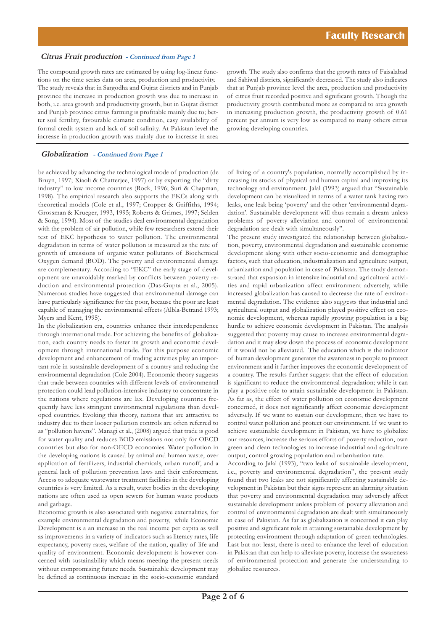#### **Citrus Fruit production - Continued from Page 1**

The compound growth rates are estimated by using log-linear functions on the time series data on area, production and productivity. The study reveals that in Sargodha and Gujrat districts and in Punjab province the increase in production growth was due to increase in both, i.e. area growth and productivity growth, but in Gujrat district and Punjab province citrus farming is profitable mainly due to; better soil fertility, favourable climatic condition, easy availability of formal credit system and lack of soil salinity. At Pakistan level the increase in production growth was mainly due to increase in area

#### **Globalization - Continued from Page 1**

be achieved by advancing the technological mode of production (de Bruyn, 1997; Xiaoli & Chatterjee, 1997) or by exporting the "dirty industry" to low income countries (Rock, 1996; Suri & Chapman, 1998). The empirical research also supports the EKCs along with theoretical models (Cole et al., 1997; Cropper & Griffiths, 1994; Grossman & Krueger, 1993, 1995; Roberts & Grimes, 1997; Selden & Song, 1994). Most of the studies deal environmental degradation with the problem of air pollution, while few researchers extend their test of EKC hypothesis to water pollution. The environmental degradation in terms of water pollution is measured as the rate of growth of emissions of organic water pollutants of Biochemical Oxygen demand (BOD). The poverty and environmental damage are complementary. According to "EKC" the early stage of development are unavoidably marked by conflicts between poverty reduction and environmental protection (Das-Gupta et al., 2005). Numerous studies have suggested that environmental damage can have particularly significance for the poor, because the poor are least capable of managing the environmental effects (Albla-Betrand 1993; Myers and Kent, 1995).

In the globalization era, countries enhance their interdependence through international trade. For achieving the benefits of globalization, each country needs to faster its growth and economic development through international trade. For this purpose economic development and enhancement of trading activities play an important role in sustainable development of a country and reducing the environmental degradation (Cole 2004). Economic theory suggests that trade between countries with different levels of environmental protection could lead pollution-intensive industry to concentrate in the nations where regulations are lax. Developing countries frequently have less stringent environmental regulations than developed countries. Evoking this theory, nations that are attractive to industry due to their looser pollution controls are often referred to as "pollution havens". Managi et al., (2008) argued that trade is good for water quality and reduces BOD emissions not only for OECD countries but also for non-OECD economies. Water pollution in the developing nations is caused by animal and human waste, over application of fertilizers, industrial chemicals, urban runoff, and a general lack of pollution prevention laws and their enforcement. Access to adequate wastewater treatment facilities in the developing countries is very limited. As a result, water bodies in the developing nations are often used as open sewers for human waste products and garbage.

Economic growth is also associated with negative externalities, for example environmental degradation and poverty, while Economic Development is a an increase in the real income per capita as well as improvements in a variety of indicators such as literacy rates, life expectancy, poverty rates, welfare of the nation, quality of life and quality of environment. Economic development is however concerned with sustainability which means meeting the present needs without compromising future needs. Sustainable development may be defined as continuous increase in the socio-economic standard

growth. The study also confirms that the growth rates of Faisalabad and Sahiwal districts, significantly decreased. The study also indicates that at Punjab province level the area, production and productivity of citrus fruit recorded positive and significant growth. Though the productivity growth contributed more as compared to area growth in increasing production growth, the productivity growth of 0.61 percent per annum is very low as compared to many others citrus growing developing countries.

of living of a country's population, normally accomplished by increasing its stocks of physical and human capital and improving its technology and environment. Jalal (1993) argued that "Sustainable development can be visualized in terms of a water tank having two leaks, one leak being 'poverty' and the other 'environmental degradation'. Sustainable development will thus remain a dream unless problems of poverty alleviation and control of environmental degradation are dealt with simultaneously".

The present study investigated the relationship between globalization, poverty, environmental degradation and sustainable economic development along with other socio-economic and demographic factors, such that education, industrialization and agriculture output, urbanization and population in case of Pakistan. The study demonstrated that expansion in intensive industrial and agricultural activities and rapid urbanization affect environment adversely, while increased globalization has caused to decrease the rate of environmental degradation. The evidence also suggests that industrial and agricultural output and globalization played positive effect on economic development, whereas rapidly growing population is a big hurdle to achieve economic development in Pakistan. The analysis suggested that poverty may cause to increase environmental degradation and it may slow down the process of economic development if it would not be alleviated. The education which is the indicator of human development generates the awareness in people to protect environment and it further improves the economic development of a country. The results further suggest that the effect of education is significant to reduce the environmental degradation; while it can play a positive role to attain sustainable development in Pakistan. As far as, the effect of water pollution on economic development concerned, it does not significantly affect economic development adversely. If we want to sustain our development, then we have to control water pollution and protect our environment. If we want to achieve sustainable development in Pakistan, we have to globalize our resources, increase the serious efforts of poverty reduction, own green and clean technologies to increase industrial and agriculture output, control growing population and urbanization rate.

According to Jalal (1993), "two leaks of sustainable development, i.e., poverty and environmental degradation", the present study found that two leaks are not significantly affecting sustainable development in Pakistan but their signs represent an alarming situation that poverty and environmental degradation may adversely affect sustainable development unless problem of poverty alleviation and control of environmental degradation are dealt with simultaneously in case of Pakistan. As far as globalization is concerned it can play positive and significant role in attaining sustainable development by protecting environment through adaptation of green technologies. Last but not least, there is need to enhance the level of education in Pakistan that can help to alleviate poverty, increase the awareness of environmental protection and generate the understanding to globalize resources.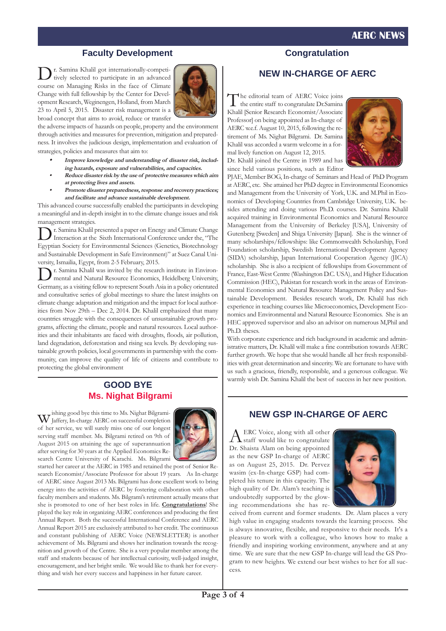#### **AERC NEWS**

#### **Faculty Development**

r. Samina Khalil got internationally-competitively selected to participate in an advanced course on Managing Risks in the face of Climate Change with full fellowship by the Center for Development Research, Weginengen, Holland, from March 23 to April 5, 2015. Disaster risk management is a broad concept that aims to avoid, reduce or transfer



the adverse impacts of hazards on people, property and the environment through activities and measures for prevention, mitigation and preparedness. It involves the judicious design, implementation and evaluation of strategies, policies and measures that aim to:

- **• Improve knowledge and understanding of disaster risk, including hazards, exposure and vulnerabilities, and capacities.**
- **Reduce disaster risk by the use of protective measures which aim at protecting lives and assets.**
- **Promote disaster preparedness, response and recovery practices; and facilitate and advance sustainable development.**

This advanced course successfully enabled the participants in developing a meaningful and in-depth insight in to the climate change issues and risk management strategies.

r. Samina Khalil presented a paper on Energy and Climate Change Interaction at the Sixth International Conference under the, "The Egyptian Society for Environmental Sciences (Genetics, Biotechnology and Sustainable Development in Safe Environment)" at Suez Canal University, Ismailia, Egypt, from 2-5 February, 2015.

Dr. Samina Khalil was invited by the research institute in Environ-mental and Natural Resource Economics, Heidelberg University, Germany, as a visiting fellow to represent South Asia in a policy orientated and consultative series of global meetings to share the latest insights on climate change adaptation and mitigation and the impact for local authorities from Nov 29th – Dec 2, 2014. Dr. Khalil emphasized that many countries struggle with the consequences of unsustainable growth programs, affecting the climate, people and natural resources. Local authorities and their inhabitants are faced with droughts, floods, air pollution, land degradation, deforestation and rising sea levels. By developing sustainable growth policies, local governments in partnership with the community, can improve the quality of life of citizens and contribute to protecting the global environment

#### **GOOD BYE Ms. Nighat Bilgrami**

wishing good bye this time to Ms. Nighat Bilgrami-<br>My Jaffery, In-charge AERC on successful completion Jaffery, In-charge AERC on successful completion of her service, we will surely miss one of our longest serving staff member. Ms. Bilgrami retired on 9th of August 2015 on attaining the age of superannuation after serving for 30 years at the Applied Economics Research Centre University of Karachi. Ms. Bilgrami



started her career at the AERC in 1985 and retained the post of Senior Research Economist/Associate Professor for about 19 years. As In-charge of AERC since August 2013 Ms. Bilgrami has done excellent work to bring energy into the activities of AERC by fostering collaboration with other faculty members and students. Ms. Bilgrami's retirement actually means that she is promoted to one of her best roles in life. **Congratulations**! She played the key role in organizing AERC conferences and producing the first Annual Report. Both the successful International Conference and AERC Annual Report 2015 are exclusively attributed to her credit. The continuous and constant publishing of AERC Voice (NEWSLETTER) is another achievement of Ms. Bilgrami and shows her inclination towards the recognition and growth of the Centre. She is a very popular member among the staff and students because of her intellectual curiosity, well-judged insight, encouragement, and her bright smile. We would like to thank her for everything and wish her every success and happiness in her future career.

#### **Congratulation**

#### **NEW IN-CHARGE OF AERC**

The editorial team of AERC Voice joins<br>the entire staff to congratulate Dr.Samina Khalil [Senior Research Economist/Associate Professor] on being appointed as In-charge of AERC w.e.f. August 10, 2015, following the retirement of Ms. Nighat Bilgrami. Dr. Samina Khalil was accorded a warm welcome in a formal lively function on August 12, 2015.

Dr. Khalil joined the Centre in 1989 and has since held various positions, such as Editor



PJAE, Member BOG, In-charge of Seminars and Head of PhD Program at AERC, etc. She attained her PhD degree in Environmental Economics and Management from the University of York, U.K. and M.Phil in Economics of Developing Countries from Cambridge University, U.K. besides attending and doing various Ph.D. courses. Dr. Samina Khalil acquired training in Environmental Economics and Natural Resource Management from the University of Berkeley [USA], University of Gutenberg [Sweden] and Shiga University [Japan]. She is the winner of many scholarships/fellowships: like Commonwealth Scholarship, Ford Foundation scholarship, Swedish International Development Agency (SIDA) scholarship, Japan International Cooperation Agency (JICA) scholarship. She is also a recipient of fellowships from Government of France, East-West Centre (Washington D.C. USA), and Higher Education Commission (HEC), Pakistan for research work in the areas of Environmental Economics and Natural Resource Management Policy and Sustainable Development. Besides research work, Dr. Khalil has rich experience in teaching courses like Microeconomics, Development Economics and Environmental and Natural Resource Economics. She is an HEC approved supervisor and also an advisor on numerous M,Phil and Ph.D. theses.

With corporate experience and rich background in academic and administrative matters, Dr. Khalil will make a fine contribution towards AERC further growth. We hope that she would handle all her fresh responsibilities with great determination and sincerity. We are fortunate to have with us such a gracious, friendly, responsible, and a generous colleague. We warmly wish Dr. Samina Khalil the best of success in her new position.

#### **NEW GSP IN-CHARGE OF AERC**

 ${\rm A}$  ERC Voice, along with all other<br>staff would like to congratulate Dr. Shaista Alam on being appointed as the new GSP In-charge of AERC as on August 25, 2015. Dr. Pervez wasim (ex-In-charge GSP) had completed his tenure in this capacity. The high quality of Dr. Alam's teaching is undoubtedly supported by the glowing recommendations she has re-



ceived from current and former students. Dr. Alam places a very high value in engaging students towards the learning process. She is always innovative, flexible, and responsive to their needs. It's a pleasure to work with a colleague, who knows how to make a friendly and inspiring working environment, anywhere and at any time. We are sure that the new GSP In-charge will lead the GS Program to new heights. We extend our best wishes to her for all success.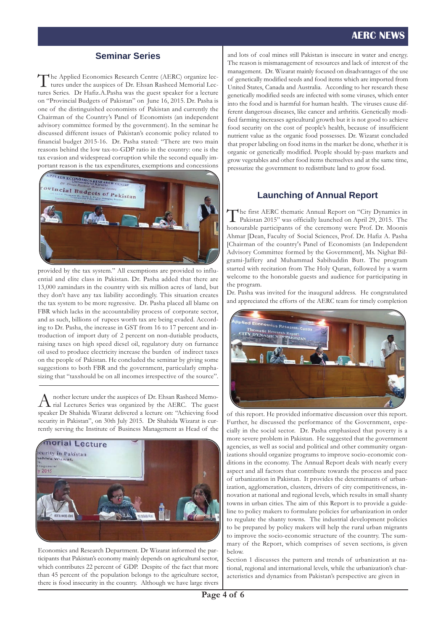#### **AERC NEWS**

#### **Seminar Series**

The Applied Economics Research Centre (AERC) organize lectures under the auspices of Dr. Ehsan Rasheed Memorial Lectures Series. Dr Hafiz.A.Pasha was the guest speaker for a lecture on "Provincial Budgets of Pakistan" on June 16, 2015. Dr. Pasha is one of the distinguished economists of Pakistan and currently the Chairman of the Country's Panel of Economists (an independent advisory committee formed by the government). In the seminar he discussed different issues of Pakistan's economic policy related to financial budget 2015-16. Dr. Pasha stated: "There are two main reasons behind the low tax-to-GDP ratio in the country: one is the tax evasion and widespread corruption while the second equally important reason is the tax expenditures, exemptions and concessions



provided by the tax system." All exemptions are provided to influential and elite class in Pakistan. Dr. Pasha added that there are 13,000 zamindars in the country with six million acres of land, but they don't have any tax liability accordingly. This situation creates the tax system to be more regressive. Dr. Pasha placed all blame on FBR which lacks in the accountability process of corporate sector, and as such, billions of rupees worth tax are being evaded. According to Dr. Pasha, the increase in GST from 16 to 17 percent and introduction of import duty of 2 percent on non-dutiable products, raising taxes on high speed diesel oil, regulatory duty on furnance oil used to produce electricity increase the burden of indirect taxes on the people of Pakistan. He concluded the seminar by giving some suggestions to both FBR and the government, particularly emphasizing that "taxshould be on all incomes irrespective of the source".

A nother lecture under the auspices of Dr. Ehsan Rasheed Memo-<br>rial Lectures Series was organized by the AERC. The guest speaker Dr Shahida Wizarat delivered a lecture on: "Achieving food security in Pakistan", on 30th July 2015. Dr Shahida Wizarat is currently serving the Institute of Business Management as Head of the



Economics and Research Department. Dr Wizarat informed the participants that Pakistan's economy mainly depends on agricultural sector, which contributes 22 percent of GDP. Despite of the fact that more than 45 percent of the population belongs to the agriculture sector, there is food insecurity in the country. Although we have large rivers

and lots of coal mines still Pakistan is insecure in water and energy. The reason is mismanagement of resources and lack of interest of the management. Dr. Wizarat mainly focused on disadvantages of the use of genetically modified seeds and food items which are imported from United States, Canada and Australia. According to her research these genetically modified seeds are infected with some viruses, which enter into the food and is harmful for human health. The viruses cause different dangerous diseases, like cancer and arthritis. Genetically modified farming increases agricultural growth but it is not good to achieve food security on the cost of people's health, because of insufficient nutrient value as the organic food possesses. Dr. Wizarat concluded that proper labeling on food items in the market be done, whether it is organic or genetically modified. People should by-pass markets and grow vegetables and other food items themselves and at the same time, pressurize the government to redistribute land to grow food.

#### **Launching of Annual Report**

The first AERC thematic Annual Report on "City Dynamics in Pakistan 2015" was officially launched on April 29, 2015. The honourable participants of the ceremony were Prof. Dr. Moonis Ahmar [Dean, Faculty of Social Sciences, Prof. Dr. Hafiz A. Pasha [Chairman of the country's Panel of Economists (an Independent Advisory Committee formed by the Government], Ms. Nighat Bilgrami-Jaffery and Muhammad Sabihuddin Butt. The program started with recitation from The Holy Quran, followed by a warm welcome to the honorable guests and audience for participating in the program.

Dr. Pasha was invited for the inaugural address. He congratulated and appreciated the efforts of the AERC team for timely completion



of this report. He provided informative discussion over this report. Further, he discussed the performance of the Government, especially in the social sector. Dr. Pasha emphasized that poverty is a more severe problem in Pakistan. He suggested that the government agencies, as well as social and political and other community organizations should organize programs to improve socio-economic conditions in the economy. The Annual Report deals with nearly every aspect and all factors that contribute towards the process and pace of urbanization in Pakistan. It provides the determinants of urbanization, agglomeration, clusters, drivers of city competitiveness, innovation at national and regional levels, which results in small shanty towns in urban cities. The aim of this Report is to provide a guideline to policy makers to formulate policies for urbanization in order to regulate the shanty towns. The industrial development policies to be prepared by policy makers will help the rural urban migrants to improve the socio-economic structure of the country. The summary of the Report, which comprises of seven sections, is given below.

Section 1 discusses the pattern and trends of urbanization at national, regional and international levels, while the urbanization's characteristics and dynamics from Pakistan's perspective are given in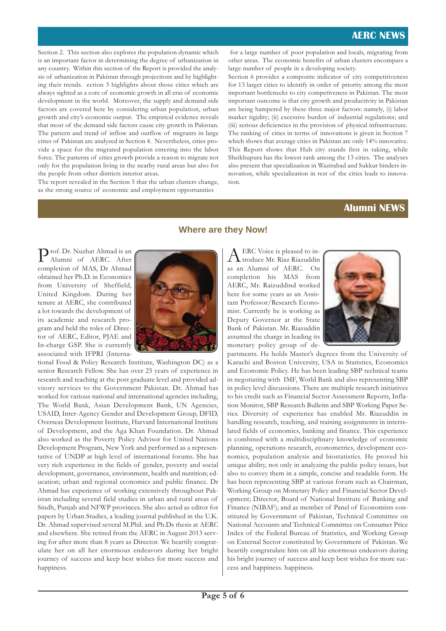Section 2. This section also explores the population dynamic which is an important factor in determining the degree of urbanization in any country. Within this section of the Report is provided the analysis of urbanization in Pakistan through projections and by highlighting their trends. ection 3 highlights about those cities which are always sighted as a core of economic growth in all eras of economic development in the world. Moreover, the supply and demand side factors are covered here by considering urban population, urban growth and city's economic output. The empirical evidence reveals that most of the demand side factors cause city growth in Pakistan. The pattern and trend of inflow and outflow of migrants in large cities of Pakistan are analyzed in Section 4. Nevertheless, cities provide a space for the migrated population entering into the labor force. The patterns of cities growth provide a reason to migrate not only for the population living in the nearby rural areas but also for the people from other districts interior areas.

The report report report report report report  $\mathcal{L}_\mathcal{S}$  that the urban clusters change, change, change,

The report revealed in the Section 5 that the urban clusters change, as the strong source of economic and employment opportunities

for a large number of poor population and locals, migrating from other areas. The economic benefits of urban clusters encompass a large number of people in a developing society.

Section 6 provides a composite indicator of city competitiveness for 13 larger cities to identify in order of priority among the most important bottlenecks to city competiveness in Pakistan. The most important outcome is that city growth and productivity in Pakistan are being hampered by these three major factors: namely, (i) labor market rigidity; (ii) excessive burden of industrial regulations; and (iii) serious deficiencies in the provision of physical infrastructure. The ranking of cities in terms of innovations is given in Section 7 which shows that average cities in Pakistan are only 14% innovative. This Report shows that Hub city stands first in raking, while Sheikhupura has the lowest rank among the 13 cities. The analyses also present that specialization in Wazirabad and Sukkur hinders innovation, while specialization in rest of the cities leads to innovation.

#### **Alumni NEWS**

Prof. Dr. Nuzhat Ahmad is an Alumni of AERC. After completion of MAS, Dr Ahmad obtained her Ph.D. in Economics from University of Sheffield, United Kingdom. During her tenure at AERC, she contributed a lot towards the development of its academic and research program and held the roles of Director of AERC, Editor, PJAE and In-charge GSP. She is currently associated with IFPRI (Interna-



tional Food & Policy Research Institute, Washington DC) as a senior Research Fellow. She has over 25 years of experience in research and teaching at the post graduate level and provided advisory services to the Government Pakistan. Dr. Ahmad has worked for various national and international agencies including, The World Bank, Asian Development Bank, UN Agencies, USAID, Inter-Agency Gender and Development Group, DFID, Overseas Development Institute, Harvard International Institute of Development, and the Aga Khan Foundation. Dr. Ahmad also worked as the Poverty Policy Advisor for United Nations Development Program, New York and performed as a representative of UNDP at high level of international forums. She has very rich experience in the fields of gender, poverty and social development, governance, environment, health and nutrition; education; urban and regional economics and public finance. Dr Ahmad has experience of working extensively throughout Pakistan including several field studies in urban and rural areas of Sindh, Punjab and NFWP provinces. She also acted as editor for papers by Urban Studies, a leading journal published in the U.K. Dr. Ahmad supervised several M.Phil. and Ph.Ds thesis at AERC and elsewhere. She retired from the AERC in August 2013 serving for after more than 8 years as Director. We heartily congratulate her on all her enormous endeavors during her bright journey of success and keep best wishes for more success and happiness.

#### **Where are they Now!**

AERC Voice is pleased to in-troduce Mr. Riaz Riazuddin as an Alumni of AERC. On completion his MAS from AERC, Mr. Raizuddind worked here for some years as an Assistant Professor/Research Economist. Currently he is working as Deputy Governor at the State Bank of Pakistan. Mr. Riazuddin assumed the charge in leading its monetary policy group of de-



partments. He holds Master's degrees from the University of Karachi and Boston University, USA in Statistics, Economics and Economic Policy. He has been leading SBP technical teams in negotiating with IMF, World Bank and also representing SBP in policy level discussions. There are multiple research initiatives to his credit such as Financial Sector Assessment Reports, Inflation Monitor, SBP Research Bulletin and SBP Working Paper Series. Diversity of experience has enabled Mr. Riazuddin in handling research, teaching, and training assignments in interrelated fields of economics, banking and finance. This experience is combined with a multidisciplinary knowledge of economic planning, operations research, econometrics, development economics, population analysis and biostatistics. He proved his unique ability, not only in analyzing the public policy issues, but also to convey them in a simple, concise and readable form. He has been representing SBP at various forum such as Chairman, Working Group on Monetary Policy and Financial Sector Development; Director, Board of National Institute of Banking and Finance (NIBAF); and as member of Panel of Economists constituted by Government of Pakistan, Technical Committee on National Accounts and Technical Committee on Consumer Price Index of the Federal Bureau of Statistics, and Working Group on External Sector constituted by Government of Pakistan. We heartily congratulate him on all his enormous endeavors during his bright journey of success and keep best wishes for more success and happiness. happiness.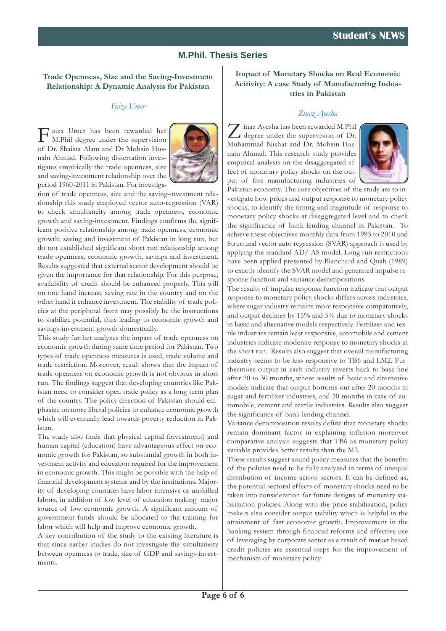#### **M.Phil. Thesis Series**

#### **Trade Openness, Size and the Saving-Investment Relationship: A Dynamic Analysis for Pakistan**

#### *Faiza Umer*

Faiza Umer has been rewarded her M.Phil degree under the supervision of Dr. Shaista Alam and Dr Mohsin Husnain Ahmad. Following dissertation investigates empirically the trade openness, size and saving-investment relationship over the period 1960-2011 in Pakistan. For investiga-



tion of trade openness, size and the saving-investment relationship this study employed vector auto-regression (VAR) to check simultaneity among trade openness, economic growth and saving-investment. Findings confirms the significant positive relationship among trade openness, economic growth; saving and investment of Pakistan in long run, but do not established significant short run relationship among trade openness, economic growth, savings and investment. Results suggested that external sector development should be given the importance for that relationship. For this purpose, availability of credit should be enhanced properly. This will on one hand increase saving rate in the country and on the other hand it enhance investment. The stability of trade policies at the peripheral front may possibly be the instructions to stabilize potential, thus leading to economic growth and savings-investment growth domestically.

This study further analyzes the impact of trade openness on economic growth during same time period for Pakistan. Two types of trade openness measures is used, trade volume and trade restriction. Moreover, result shows that the impact of trade openness on economic growth is not obvious in short run. The findings suggest that developing countries like Pakistan need to consider open trade policy as a long term plan of the country. The policy direction of Pakistan should emphasize on more liberal policies to enhance economic growth which will eventually lead towards poverty reduction in Pakistan.

The study also finds that physical capital (investment) and human capital (education) have advantageous effect on economic growth for Pakistan, so substantial growth in both investment activity and education required for the improvement in economic growth. This might be possible with the help of financial development systems and by the institutions. Majority of developing countries have labor intensive or unskilled labors, in addition of low level of education making major source of low economic growth. A significant amount of government funds should be allocated to the training for labor which will help and improve economic growth.

A key contribution of the study to the existing literature is that since earlier studies do not investigate the simultaneity between openness to trade, size of GDP and savings-investments.

#### **Impact of Monetary Shocks on Real Economic Acitivity: A case Study of Manufacturing Industries in Pakistan**

#### *Zinaz Ayesha*

 $\sum$  inaz Ayesha has been rewarded M.Phil<br>degree under the supervision of Dr. Muhammad Nishat and Dr. Mohsin Hasnain Ahmad. This research study provides empirical analysis on the disaggregated effect of monetary policy shocks on the output of five manufacturing industries of



Pakistan economy. The core objectives of the study are to investigate how prices and output response to monetary policy shocks, to identify the timing and magnitude of response to monetary policy shocks at disaggregated level and to check the significance of bank lending channel in Pakistan. To achieve these objectives monthly data from 1993 to 2010 and Structural vector auto regression (SVAR) approach is used by applying the standard AD/ AS model. Long run restrictions have been applied presented by Blanchard and Quah (1989) to exactly identify the SVAR model and generated impulse response function and variance decompositions.

The results of impulse response function indicate that output response to monetary policy shocks differs across industries, where sugar industry remains more responsive comparatively, and output declines by 15% and 5% due to monetary shocks in basic and alternative models respectively. Fertilizer and textile industries remain least responsive, automobile and cement industries indicate moderate response to monetary shocks in the short run. Results also suggest that overall manufacturing industry seems to be less responsive to TB6 and LM2. Furthermore output in each industry reverts back to base line after 20 to 30 months, where results of basic and alternative models indicate that output bottoms out after 20 months in sugar and fertilizer industries, and 30 months in case of automobile, cement and textile industries. Results also suggest the significance of bank lending channel.

Variance decomposition results define that monetary shocks remain dominant factor in explaining inflation moreover comparative analysis suggests that TB6 as monetary policy variable provides better results than the M2.

These results suggest sound policy measures that the benefits of the policies need to be fully analyzed in terms of unequal distribution of income across sectors. It can be defined as; the potential sectoral effects of monetary shocks need to be taken into consideration for future designs of monetary stabilization policies. Along with the price stabilization, policy makers also consider output stability which is helpful in the attainment of fast economic growth. Improvement in the banking system through financial reforms and effective use of leveraging by corporate sector as a result of market based credit policies are essential steps for the improvement of mechanism of monetary policy.